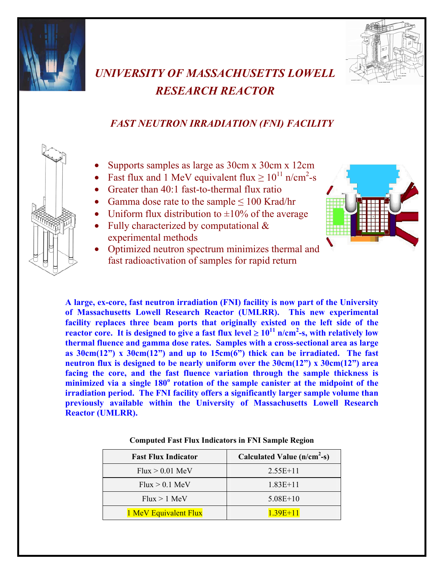



## *UNIVERSITY OF MASSACHUSETTS LOWELL RESEARCH REACTOR*

## *FAST NEUTRON IRRADIATION (FNI) FACILITY*

- Supports samples as large as 30cm x 30cm x 12cm
- Fast flux and 1 MeV equivalent flux  $\geq 10^{11}$  n/cm<sup>2</sup>-s
	- Greater than 40:1 fast-to-thermal flux ratio
	- Gamma dose rate to the sample  $\leq 100$  Krad/hr
	- Uniform flux distribution to  $\pm 10\%$  of the average
	- Fully characterized by computational  $\&$ experimental methods
- 
- Optimized neutron spectrum minimizes thermal and fast radioactivation of samples for rapid return

**A large, ex-core, fast neutron irradiation (FNI) facility is now part of the University of Massachusetts Lowell Research Reactor (UMLRR). This new experimental facility replaces three beam ports that originally existed on the left side of the reactor core.** It is designed to give a fast flux level ≥  $10^{11}$  n/cm<sup>2</sup>-s, with relatively low **thermal fluence and gamma dose rates. Samples with a cross-sectional area as large as 30cm(12") x 30cm(12") and up to 15cm(6") thick can be irradiated. The fast neutron flux is designed to be nearly uniform over the 30cm(12") x 30cm(12") area facing the core, and the fast fluence variation through the sample thickness is minimized via a single 180<sup>o</sup> rotation of the sample canister at the midpoint of the irradiation period. The FNI facility offers a significantly larger sample volume than previously available within the University of Massachusetts Lowell Research Reactor (UMLRR).** 

| <b>Fast Flux Indicator</b> | Calculated Value (n/cm <sup>2</sup> -s) |
|----------------------------|-----------------------------------------|
| $Flux > 0.01$ MeV          | $2.55E+11$                              |
| $Flux > 0.1$ MeV           | $1.83E+11$                              |
| $Flux > 1$ MeV             | $5.08E+10$                              |
| 1 MeV Equivalent Flux      | $1.39E + 11$                            |

|  | <b>Computed Fast Flux Indicators in FNI Sample Region</b> |  |  |
|--|-----------------------------------------------------------|--|--|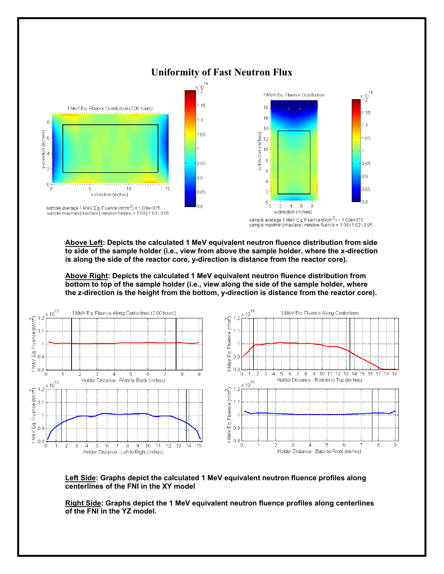

**Above Left: Depicts the calculated 1 MeV equivalent neutron fluence distribution from side to side of the sample holder (i.e., view from above the sample holder, where the x-direction is along the side of the reactor core, y-direction is distance from the reactor core).** 

**Above Right: Depicts the calculated 1 MeV equivalent neutron fluence distribution from bottom to top of the sample holder (i.e., view along the side of the sample holder, where the z-direction is the height from the bottom, y-direction is distance from the reactor core).** 



## **Left Side: Graphs depict the calculated 1 MeV equivalent neutron fluence profiles along centerlines of the FNI in the XY model**

**Right Side: Graphs depict the 1 MeV equivalent neutron fluence profiles along centerlines of the FNI in the YZ model.**